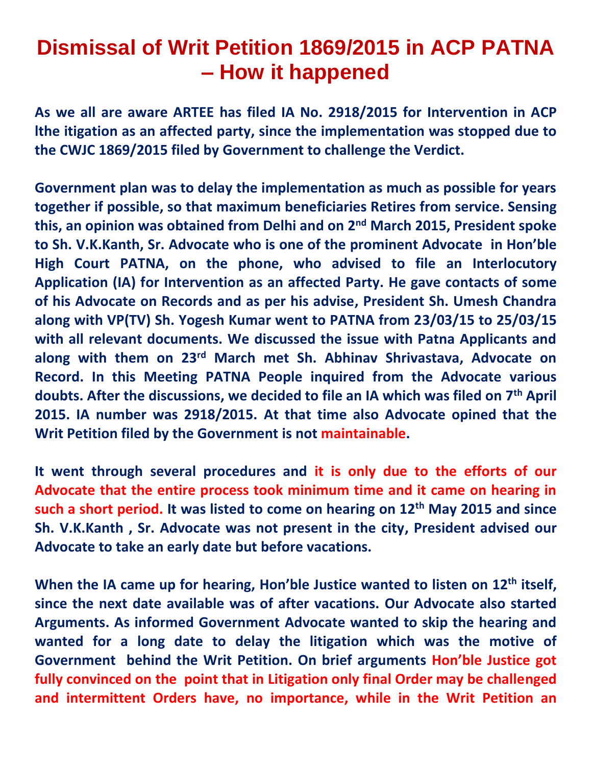## **Dismissal of Writ Petition 1869/2015 in ACP PATNA – How it happened**

**As we all are aware ARTEE has filed IA No. 2918/2015 for Intervention in ACP lthe itigation as an affected party, since the implementation was stopped due to the CWJC 1869/2015 filed by Government to challenge the Verdict.**

**Government plan was to delay the implementation as much as possible for years together if possible, so that maximum beneficiaries Retires from service. Sensing this, an opinion was obtained from Delhi and on 2nd March 2015, President spoke to Sh. V.K.Kanth, Sr. Advocate who is one of the prominent Advocate in Hon'ble High Court PATNA, on the phone, who advised to file an Interlocutory Application (IA) for Intervention as an affected Party. He gave contacts of some of his Advocate on Records and as per his advise, President Sh. Umesh Chandra along with VP(TV) Sh. Yogesh Kumar went to PATNA from 23/03/15 to 25/03/15 with all relevant documents. We discussed the issue with Patna Applicants and along with them on 23rd March met Sh. Abhinav Shrivastava, Advocate on Record. In this Meeting PATNA People inquired from the Advocate various doubts. After the discussions, we decided to file an IA which was filed on 7th April 2015. IA number was 2918/2015. At that time also Advocate opined that the Writ Petition filed by the Government is not maintainable.**

**It went through several procedures and it is only due to the efforts of our Advocate that the entire process took minimum time and it came on hearing in such a short period. It was listed to come on hearing on 12th May 2015 and since Sh. V.K.Kanth , Sr. Advocate was not present in the city, President advised our Advocate to take an early date but before vacations.**

**When the IA came up for hearing, Hon'ble Justice wanted to listen on 12th itself, since the next date available was of after vacations. Our Advocate also started Arguments. As informed Government Advocate wanted to skip the hearing and wanted for a long date to delay the litigation which was the motive of Government behind the Writ Petition. On brief arguments Hon'ble Justice got fully convinced on the point that in Litigation only final Order may be challenged and intermittent Orders have, no importance, while in the Writ Petition an**